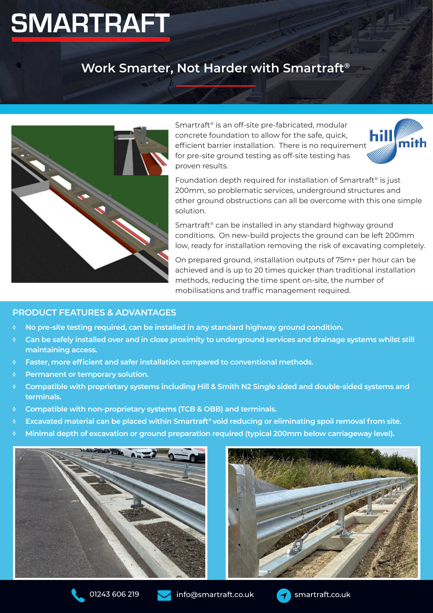# **SMARTRAFT**

### **Work Smarter, Not Harder with Smartraft®**



Smartraft® is an off-site pre-fabricated, modular concrete foundation to allow for the safe, quick, efficient barrier installation. There is no requirement for pre-site ground testing as off-site testing has proven results.



Foundation depth required for installation of Smartraft<sup>®</sup> is just 200mm, so problematic services, underground structures and other ground obstructions can all be overcome with this one simple solution.

Smartraft® can be installed in any standard highway ground conditions. On new-build projects the ground can be left 200mm low, ready for installation removing the risk of excavating completely.

On prepared ground, installation outputs of 75m+ per hour can be achieved and is up to 20 times quicker than traditional installation methods, reducing the time spent on-site, the number of mobilisations and traffic management required.

#### **PRODUCT FEATURES & ADVANTAGES**

- **◊ No pre-site testing required, can be installed in any standard highway ground condition.**
- **◊ Can be safely installed over and in close proximity to underground services and drainage systems whilst still maintaining access.**
- **◊ Faster, more efficient and safer installation compared to conventional methods.**
- **◊ Permanent or temporary solution.**
- **◊ Compatible with proprietary systems including Hill & Smith N2 Single sided and double-sided systems and terminals.**
- **◊ Compatible with non-proprietary systems (TCB & OBB) and terminals.**
- **◊ Excavated material can be placed within Smartraft® void reducing or eliminating spoil removal from site.**
- **Minimal depth of excavation or ground preparation required (typical 200mm below carriageway level).**







01243 606 219 info@smartraft.co.uk smartraft.co.uk